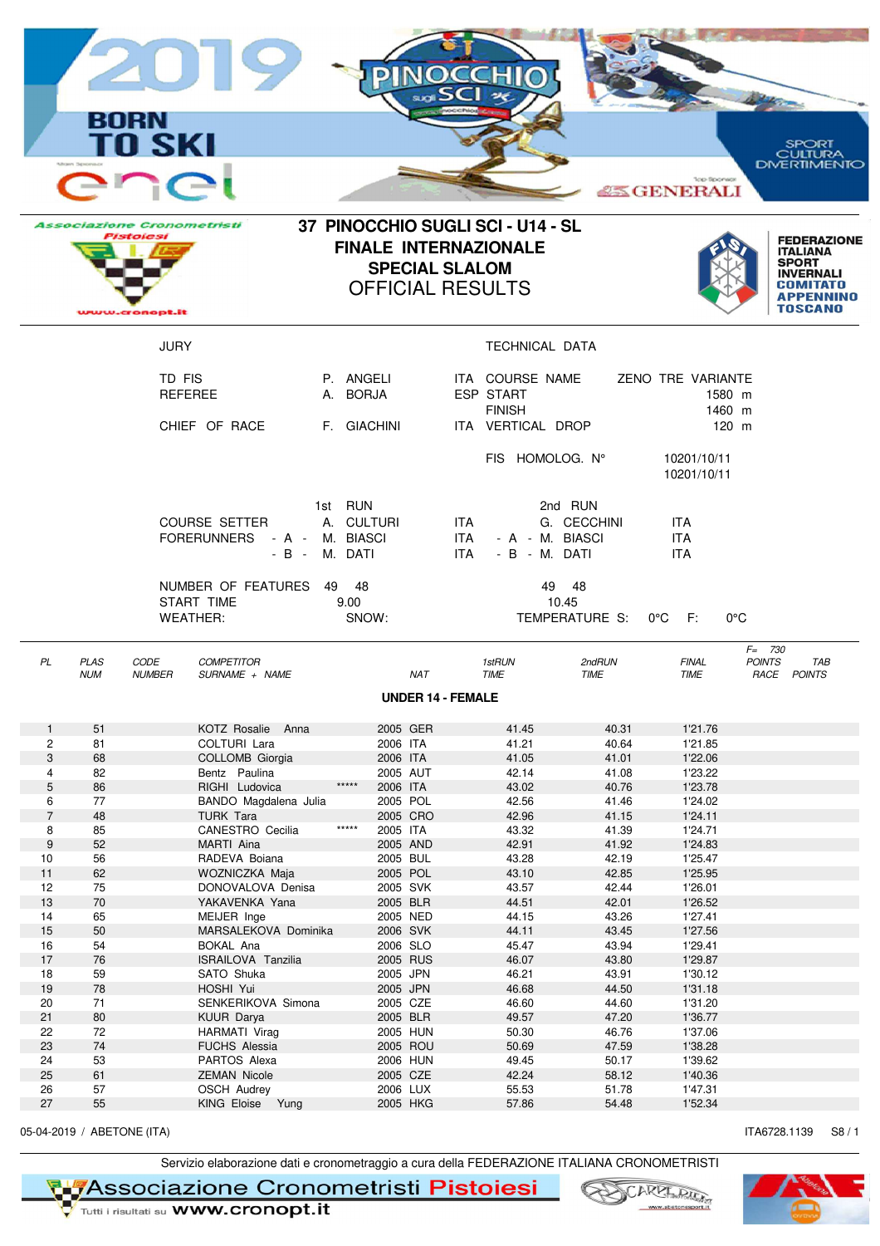|                            |                           | <b>BORN</b><br><b>TO SKI</b><br>$\overline{\phantom{0}}$<br><b>Associazione Cronometristi</b><br>Pistolesi |                                                       | 37 PINOCCHIO SUGLI SCI - U14 - SL                         |                         | <b>Top Sponsor</b><br><b>ASS GENERALI</b> | SPORT<br>:ULTURA<br>DMERTIMENTO<br><b>FEDERAZIONE</b>          |
|----------------------------|---------------------------|------------------------------------------------------------------------------------------------------------|-------------------------------------------------------|-----------------------------------------------------------|-------------------------|-------------------------------------------|----------------------------------------------------------------|
|                            |                           |                                                                                                            | <b>FINALE INTERNAZIONALE</b><br><b>SPECIAL SLALOM</b> | <b>OFFICIAL RESULTS</b>                                   |                         |                                           | <b>ITALIANA</b><br><b>SPORT</b><br><b>INVERNALI</b>            |
|                            |                           | www.cronopt.it                                                                                             |                                                       |                                                           |                         |                                           | TOSCANO                                                        |
|                            |                           | <b>JURY</b>                                                                                                |                                                       | <b>TECHNICAL DATA</b>                                     |                         |                                           |                                                                |
|                            |                           | TD FIS<br><b>REFEREE</b>                                                                                   | P. ANGELI<br>A. BORJA                                 | ITA COURSE NAME<br><b>ESP START</b>                       |                         | ZENO TRE VARIANTE<br>1580 m               |                                                                |
|                            |                           | CHIEF OF RACE                                                                                              | F. GIACHINI                                           | <b>FINISH</b><br>ITA VERTICAL DROP                        |                         | 1460 m<br>$120$ m                         |                                                                |
|                            |                           |                                                                                                            |                                                       | FIS HOMOLOG. N°                                           |                         | 10201/10/11<br>10201/10/11                |                                                                |
|                            |                           | <b>COURSE SETTER</b><br>FORERUNNERS - A - M. BIASCI                                                        | 1st RUN<br>A. CULTURI<br>- B - M. DATI                | ITA.<br>ITA I<br>- A - M. BIASCI<br>ITA.<br>- B - M. DATI | 2nd RUN<br>G. CECCHINI  | <b>ITA</b><br><b>ITA</b><br><b>ITA</b>    |                                                                |
|                            |                           | NUMBER OF FEATURES<br>START TIME<br><b>WEATHER:</b>                                                        | 49 48<br>9.00 <sub>1</sub><br>SNOW:                   | 10.45                                                     | 49 48<br>TEMPERATURE S: | $0^{\circ}$ C F:                          | $0^{\circ}$ C                                                  |
| PL                         | <b>PLAS</b><br><b>NUM</b> | CODE<br><b>COMPETITOR</b><br><b>NUMBER</b><br>SURNAME + NAME                                               | NA I                                                  | 1stRUN<br><b>I IME</b>                                    | 2ndRUN<br><b>I IME</b>  | <b>FINAL</b><br><b>IME</b>                | $F = 730$<br><b>POINTS</b><br>TAB<br><i><b>RACE POINTS</b></i> |
|                            |                           |                                                                                                            |                                                       | <b>UNDER 14 - FEMALE</b>                                  |                         |                                           |                                                                |
| $\mathbf{1}$               | 51                        | KOTZ Rosalie Anna                                                                                          | 2005 GER                                              | 41.45                                                     | 40.31                   | 1'21.76                                   |                                                                |
| $\mathbf{2}^{\prime}$<br>3 | 81<br>68                  | COLTURI Lara<br>COLLOMB Giorgia                                                                            | 2006 ITA<br>2006 ITA                                  | 41.21<br>41.05                                            | 40.64<br>41.01          | 1'21.85<br>1'22.06                        |                                                                |
| 4                          | 82                        | Bentz Paulina                                                                                              | 2005 AUT                                              | 42.14                                                     | 41.08                   | 1'23.22                                   |                                                                |
| $\mathbf 5$                | 86                        | RIGHI Ludovica                                                                                             | $*****$<br>2006 ITA                                   | 43.02                                                     | 40.76                   | 1'23.78                                   |                                                                |
| 6<br>$\overline{7}$        | 77                        | BANDO Magdalena Julia                                                                                      | 2005 POL<br>2005 CRO                                  | 42.56                                                     | 41.46                   | 1'24.02                                   |                                                                |
| 8                          | 48<br>85                  | <b>TURK Tara</b><br>CANESTRO Cecilia                                                                       | *****<br>2005 ITA                                     | 42.96<br>43.32                                            | 41.15<br>41.39          | 1'24.11<br>1'24.71                        |                                                                |
| $\boldsymbol{9}$           | 52                        | MARTI Aina                                                                                                 | 2005 AND                                              | 42.91                                                     | 41.92                   | 1'24.83                                   |                                                                |
| 10                         | 56                        | RADEVA Boiana                                                                                              | 2005 BUL                                              | 43.28                                                     | 42.19                   | 1'25.47                                   |                                                                |
| 11                         | 62                        | WOZNICZKA Maja                                                                                             | 2005 POL                                              | 43.10                                                     | 42.85                   | 1'25.95                                   |                                                                |
| 12<br>13                   | 75<br>70                  | DONOVALOVA Denisa<br>YAKAVENKA Yana                                                                        | 2005 SVK<br>2005 BLR                                  | 43.57<br>44.51                                            | 42.44<br>42.01          | 1'26.01<br>1'26.52                        |                                                                |
| 14                         | 65                        | MEIJER Inge                                                                                                | 2005 NED                                              | 44.15                                                     | 43.26                   | 1'27.41                                   |                                                                |
| 15                         | 50                        | MARSALEKOVA Dominika                                                                                       | 2006 SVK                                              | 44.11                                                     | 43.45                   | 1'27.56                                   |                                                                |
| 16                         | 54                        | <b>BOKAL Ana</b>                                                                                           | 2006 SLO                                              | 45.47                                                     | 43.94                   | 1'29.41                                   |                                                                |
| 17                         | 76                        | ISRAILOVA Tanzilia                                                                                         | 2005 RUS                                              | 46.07                                                     | 43.80                   | 1'29.87                                   |                                                                |
| 18<br>19                   | 59<br>78                  | SATO Shuka<br>HOSHI Yui                                                                                    | 2005 JPN<br>2005 JPN                                  | 46.21<br>46.68                                            | 43.91<br>44.50          | 1'30.12<br>1'31.18                        |                                                                |
| 20                         | 71                        | SENKERIKOVA Simona                                                                                         | 2005 CZE                                              | 46.60                                                     | 44.60                   | 1'31.20                                   |                                                                |
| 21                         | 80                        | KUUR Darya                                                                                                 | 2005 BLR                                              | 49.57                                                     | 47.20                   | 1'36.77                                   |                                                                |
| 22                         | 72                        | HARMATI Virag                                                                                              | 2005 HUN                                              | 50.30                                                     | 46.76                   | 1'37.06                                   |                                                                |
| 23                         | 74                        | <b>FUCHS Alessia</b>                                                                                       | 2005 ROU                                              | 50.69                                                     | 47.59                   | 1'38.28                                   |                                                                |
| 24<br>25                   | 53<br>61                  | PARTOS Alexa<br><b>ZEMAN Nicole</b>                                                                        | 2006 HUN<br>2005 CZE                                  | 49.45<br>42.24                                            | 50.17<br>58.12          | 1'39.62<br>1'40.36                        |                                                                |

05-04-2019 / ABETONE (ITA) S8 / 1

Servizio elaborazione dati e cronometraggio a cura della FEDERAZIONE ITALIANA CRONOMETRISTI<br>Victori i risultati su WWW.cronopt.it
Victorian and WWW.cronopt.it

26 57 OSCH Audrey 2006 LUX 55.53 51.78 1'47.31 27 55 KING Eloise Yung 2005 HKG 57.86 54.48 1'52.34



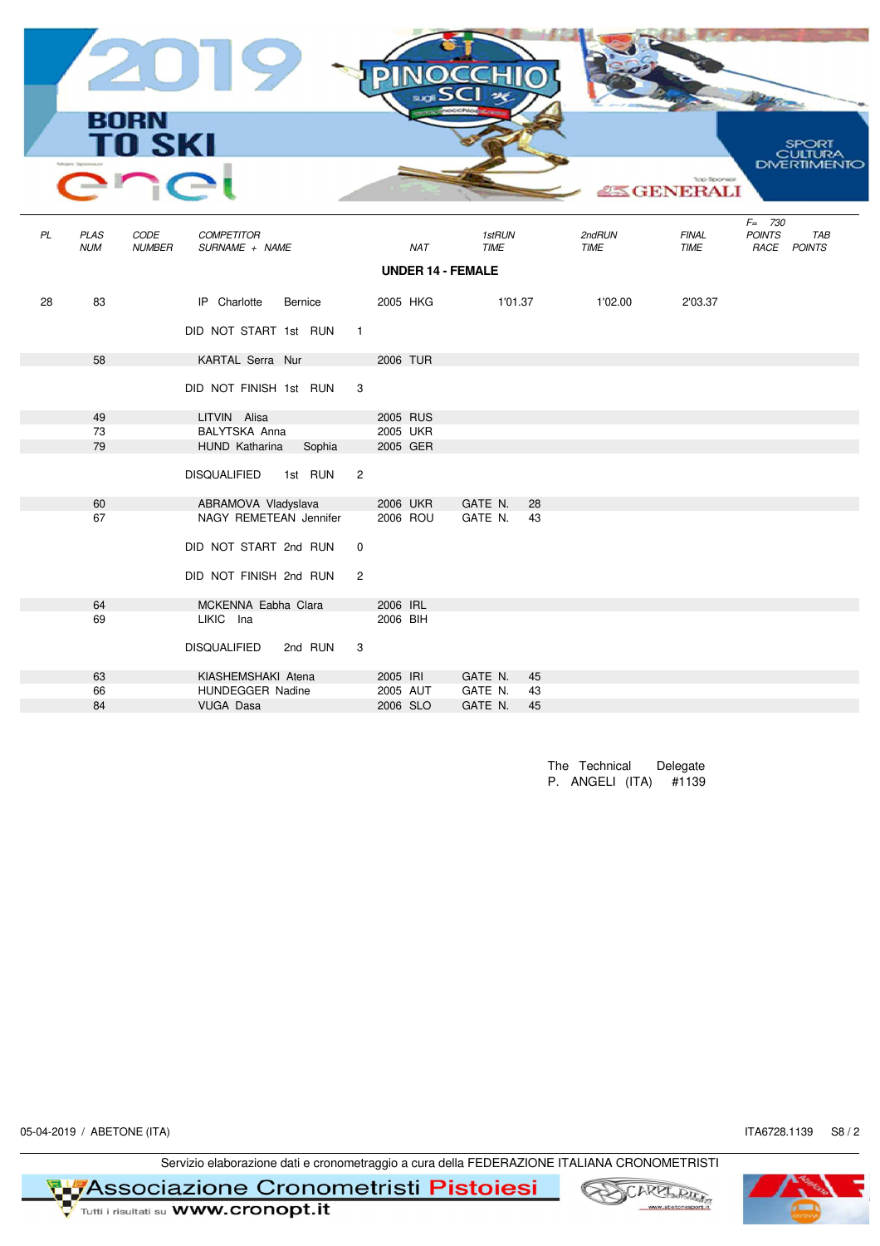|    |                           | 2019<br><b>BORN<br/>TO SKI</b><br>$\cap$                     |                |          |                          |    |                | <b>Top Sponsor</b><br><b>ASS GENERALI</b> | SPORT<br><b>JLTURA</b><br>DMERTIMENTO            |
|----|---------------------------|--------------------------------------------------------------|----------------|----------|--------------------------|----|----------------|-------------------------------------------|--------------------------------------------------|
| PL | <b>PLAS</b><br><b>NUM</b> | CODE<br><b>COMPETITOR</b><br><b>NUMBER</b><br>SURNAME + NAME |                | NAT      | 1stRUN<br><b>TIME</b>    |    | 2ndRUN<br>TIME | <b>FINAL</b><br>TIME                      | $F = 730$<br><b>POINTS</b><br>TAB<br>RACE POINTS |
|    |                           |                                                              |                |          | <b>UNDER 14 - FEMALE</b> |    |                |                                           |                                                  |
|    |                           |                                                              |                |          |                          |    |                |                                           |                                                  |
| 28 | 83                        | IP Charlotte<br>Bernice                                      |                | 2005 HKG | 1'01.37                  |    | 1'02.00        | 2'03.37                                   |                                                  |
|    |                           | DID NOT START 1st RUN                                        | $\overline{1}$ |          |                          |    |                |                                           |                                                  |
|    | 58                        | KARTAL Serra Nur                                             |                | 2006 TUR |                          |    |                |                                           |                                                  |
|    |                           | DID NOT FINISH 1st RUN                                       | 3              |          |                          |    |                |                                           |                                                  |
|    | 49                        | LITVIN Alisa                                                 |                | 2005 RUS |                          |    |                |                                           |                                                  |
|    | 73                        | BALYTSKA Anna                                                |                | 2005 UKR |                          |    |                |                                           |                                                  |
|    | 79                        | HUND Katharina<br>Sophia                                     |                | 2005 GER |                          |    |                |                                           |                                                  |
|    |                           | <b>DISQUALIFIED</b><br>1st RUN                               | $\overline{2}$ |          |                          |    |                |                                           |                                                  |
|    | 60                        | ABRAMOVA Vladyslava                                          |                | 2006 UKR | GATE N.                  | 28 |                |                                           |                                                  |
|    | 67                        | NAGY REMETEAN Jennifer                                       |                | 2006 ROU | GATE N.                  | 43 |                |                                           |                                                  |
|    |                           | DID NOT START 2nd RUN                                        | $\mathbf 0$    |          |                          |    |                |                                           |                                                  |
|    |                           | DID NOT FINISH 2nd RUN                                       | $\overline{2}$ |          |                          |    |                |                                           |                                                  |
|    | 64                        | MCKENNA Eabha Clara                                          |                | 2006 IRL |                          |    |                |                                           |                                                  |
|    | 69                        | LIKIC Ina                                                    |                | 2006 BIH |                          |    |                |                                           |                                                  |
|    |                           | <b>DISQUALIFIED</b><br>2nd RUN                               | 3              |          |                          |    |                |                                           |                                                  |
|    | 63                        | KIASHEMSHAKI Atena                                           |                | 2005 IRI | GATE N.                  | 45 |                |                                           |                                                  |
|    | 66                        | HUNDEGGER Nadine                                             |                | 2005 AUT | GATE N.                  | 43 |                |                                           |                                                  |
|    | 84                        | <b>VUGA Dasa</b>                                             |                | 2006 SLO | GATE N.                  | 45 |                |                                           |                                                  |
|    |                           |                                                              |                |          |                          |    |                |                                           |                                                  |

The Technical Delegate P. ANGELI (ITA) #1139

05-04-2019 / ABETONE (ITA) S8 / 2

Servizio elaborazione dati e cronometraggio a cura della FEDERAZIONE ITALIANA CRONOMETRISTI<br>Metri i risultati su WWW.cronopt.it<br>Metri i risultati su WWW.cronopt.it



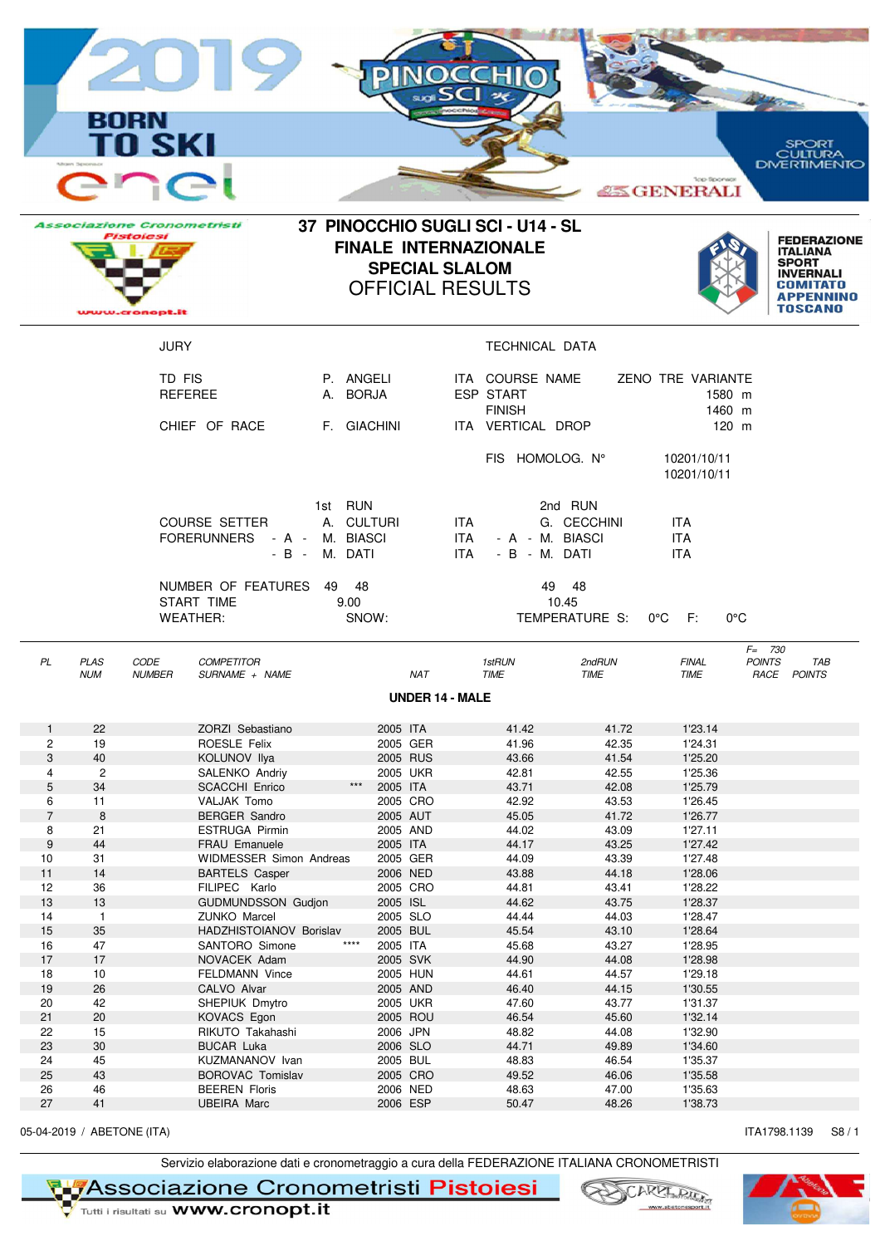|                     |                            | <b>BORN</b>                                                             |                                                           |                                        |                                                                                  |                        | 16 S I                                                             |                                  |                                           |                                                                       |                                             |
|---------------------|----------------------------|-------------------------------------------------------------------------|-----------------------------------------------------------|----------------------------------------|----------------------------------------------------------------------------------|------------------------|--------------------------------------------------------------------|----------------------------------|-------------------------------------------|-----------------------------------------------------------------------|---------------------------------------------|
|                     |                            | <b>TO SKI</b>                                                           |                                                           |                                        |                                                                                  |                        |                                                                    |                                  | <b>Top Sponsor</b><br><b>ASS GENERALI</b> | <b>SPORT</b><br>CULTURA<br>DMERTIMENTO                                |                                             |
|                     |                            | <b>Associazione Cronometristi</b><br><b>Pistolesi</b><br>uww.cronopt.it |                                                           |                                        | <b>FINALE INTERNAZIONALE</b><br><b>SPECIAL SLALOM</b><br><b>OFFICIAL RESULTS</b> |                        | 37 PINOCCHIO SUGLI SCI - U14 - SL                                  |                                  |                                           | <b>ITALIANA</b><br><b>SPORT</b><br><b>INVERNALI</b><br><b>TOSCANO</b> | <b>FEDERAZIONE</b><br>COMITATO<br>APPENNINO |
|                     |                            | <b>JURY</b>                                                             |                                                           |                                        |                                                                                  |                        | TECHNICAL DATA                                                     |                                  |                                           |                                                                       |                                             |
|                     |                            | TD FIS                                                                  | <b>REFEREE</b><br>CHIEF OF RACE                           | P. ANGELI<br>A. BORJA<br>F. GIACHINI   |                                                                                  |                        | ITA COURSE NAME<br>ESP START<br><b>FINISH</b><br>ITA VERTICAL DROP |                                  | ZENO TRE VARIANTE<br>1580 m<br>1460 m     | 120 m                                                                 |                                             |
|                     |                            |                                                                         |                                                           |                                        |                                                                                  |                        | FIS HOMOLOG. N°                                                    |                                  | 10201/10/11<br>10201/10/11                |                                                                       |                                             |
|                     |                            |                                                                         | <b>COURSE SETTER</b><br>FORERUNNERS - A - M. BIASCI       | 1st RUN<br>A. CULTURI<br>- B - M. DATI |                                                                                  | ITA.<br>ITA.<br>ITA    | - A - M. BIASCI<br>- B - M. DATI                                   | 2nd RUN<br>G. CECCHINI           | <b>ITA</b><br><b>ITA</b><br><b>ITA</b>    |                                                                       |                                             |
|                     |                            |                                                                         | NUMBER OF FEATURES 49 48<br>START TIME<br><b>WEATHER:</b> | 9.00<br>SNOW:                          |                                                                                  |                        |                                                                    | 49 48<br>10.45<br>TEMPERATURE S: | $0^{\circ}$ C F:                          | $0^{\circ}$ C                                                         |                                             |
| PL                  | <b>PLAS</b><br><b>NUM</b>  | CODE<br><b>NUMBER</b>                                                   | <b>COMPETITOR</b><br>SURNAME + NAME                       |                                        | <b>NAT</b>                                                                       |                        | 1stRUN<br><b>TIME</b>                                              | 2ndRUN<br>TIME                   | <b>FINAL</b><br>TIME                      | $F = 730$<br><b>POINTS</b><br>RACE POINTS                             | TAB                                         |
|                     |                            |                                                                         |                                                           |                                        |                                                                                  | <b>UNDER 14 - MALE</b> |                                                                    |                                  |                                           |                                                                       |                                             |
| $\mathbf{1}$        | 22                         |                                                                         | ZORZI Sebastiano                                          |                                        | 2005 ITA                                                                         |                        | 41.42                                                              | 41.72                            | 1'23.14                                   |                                                                       |                                             |
| $\overline{c}$      | 19                         |                                                                         | ROESLE Felix                                              |                                        | 2005 GER                                                                         |                        | 41.96                                                              | 42.35                            | 1'24.31                                   |                                                                       |                                             |
| 3                   | 40                         |                                                                         | KOLUNOV Ilya                                              |                                        | 2005 RUS                                                                         |                        | 43.66                                                              | 41.54                            | 1'25.20                                   |                                                                       |                                             |
| 4                   | $\overline{c}$             |                                                                         | SALENKO Andriy                                            |                                        | 2005 UKR                                                                         |                        | 42.81                                                              | 42.55                            | 1'25.36                                   |                                                                       |                                             |
| 5                   | 34                         |                                                                         | <b>SCACCHI Enrico</b>                                     | $\star\star\star$                      | 2005 ITA                                                                         |                        | 43.71                                                              | 42.08                            | 1'25.79                                   |                                                                       |                                             |
| 6<br>$\overline{7}$ | 11                         |                                                                         | VALJAK Tomo                                               |                                        | 2005 CRO                                                                         |                        | 42.92                                                              | 43.53                            | 1'26.45                                   |                                                                       |                                             |
| 8                   | 8<br>21                    |                                                                         | <b>BERGER Sandro</b><br><b>ESTRUGA Pirmin</b>             |                                        | 2005 AUT<br>2005 AND                                                             |                        | 45.05<br>44.02                                                     | 41.72<br>43.09                   | 1'26.77<br>1'27.11                        |                                                                       |                                             |
| 9                   | 44                         |                                                                         | FRAU Emanuele                                             |                                        | 2005 ITA                                                                         |                        | 44.17                                                              | 43.25                            | 1'27.42                                   |                                                                       |                                             |
| 10                  | 31                         |                                                                         | <b>WIDMESSER Simon Andreas</b>                            |                                        | 2005 GER                                                                         |                        | 44.09                                                              | 43.39                            | 1'27.48                                   |                                                                       |                                             |
| 11                  | 14                         |                                                                         | <b>BARTELS Casper</b>                                     |                                        | 2006 NED                                                                         |                        | 43.88                                                              | 44.18                            | 1'28.06                                   |                                                                       |                                             |
| 12                  | 36                         |                                                                         | FILIPEC Karlo                                             |                                        | 2005 CRO                                                                         |                        | 44.81                                                              | 43.41                            | 1'28.22                                   |                                                                       |                                             |
| 13                  | 13                         |                                                                         | <b>GUDMUNDSSON Gudjon</b>                                 |                                        | 2005 ISL                                                                         |                        | 44.62                                                              | 43.75                            | 1'28.37                                   |                                                                       |                                             |
| 14                  | $\overline{1}$             |                                                                         | <b>ZUNKO Marcel</b>                                       |                                        | 2005 SLO                                                                         |                        | 44.44                                                              | 44.03                            | 1'28.47                                   |                                                                       |                                             |
| 15                  | 35                         |                                                                         | HADZHISTOIANOV Borislav                                   | $***$                                  | 2005 BUL                                                                         |                        | 45.54                                                              | 43.10                            | 1'28.64                                   |                                                                       |                                             |
| 16<br>17            | 47<br>17                   |                                                                         | SANTORO Simone<br>NOVACEK Adam                            |                                        | 2005 ITA<br>2005 SVK                                                             |                        | 45.68<br>44.90                                                     | 43.27<br>44.08                   | 1'28.95<br>1'28.98                        |                                                                       |                                             |
| 18                  | 10                         |                                                                         | FELDMANN Vince                                            |                                        | 2005 HUN                                                                         |                        | 44.61                                                              | 44.57                            | 1'29.18                                   |                                                                       |                                             |
| 19                  | 26                         |                                                                         | CALVO Alvar                                               |                                        | 2005 AND                                                                         |                        | 46.40                                                              | 44.15                            | 1'30.55                                   |                                                                       |                                             |
| 20                  | 42                         |                                                                         | SHEPIUK Dmytro                                            |                                        | 2005 UKR                                                                         |                        | 47.60                                                              | 43.77                            | 1'31.37                                   |                                                                       |                                             |
| 21                  | 20                         |                                                                         | KOVACS Egon                                               |                                        | 2005 ROU                                                                         |                        | 46.54                                                              | 45.60                            | 1'32.14                                   |                                                                       |                                             |
| 22                  | 15                         |                                                                         | RIKUTO Takahashi                                          |                                        | 2006 JPN                                                                         |                        | 48.82                                                              | 44.08                            | 1'32.90                                   |                                                                       |                                             |
| 23                  | 30                         |                                                                         | <b>BUCAR Luka</b>                                         |                                        | 2006 SLO                                                                         |                        | 44.71                                                              | 49.89                            | 1'34.60                                   |                                                                       |                                             |
| 24                  | 45                         |                                                                         | KUZMANANOV Ivan                                           |                                        | 2005 BUL                                                                         |                        | 48.83                                                              | 46.54                            | 1'35.37                                   |                                                                       |                                             |
| 25                  | 43                         |                                                                         | <b>BOROVAC Tomislav</b>                                   |                                        | 2005 CRO                                                                         |                        | 49.52                                                              | 46.06                            | 1'35.58                                   |                                                                       |                                             |
| 26                  | 46                         |                                                                         | <b>BEEREN Floris</b>                                      |                                        | 2006 NED                                                                         |                        | 48.63                                                              | 47.00                            | 1'35.63                                   |                                                                       |                                             |
| 27                  | 41                         |                                                                         | <b>UBEIRA Marc</b>                                        |                                        | 2006 ESP                                                                         |                        | 50.47                                                              | 48.26                            | 1'38.73                                   |                                                                       |                                             |
|                     | 05-04-2019 / ABETONE (ITA) |                                                                         |                                                           |                                        |                                                                                  |                        |                                                                    |                                  |                                           | ITA1798.1139                                                          | S8/1                                        |

Servizio elaborazione dati e cronometraggio a cura della FEDERAZIONE ITALIANA CRONOMETRISTI



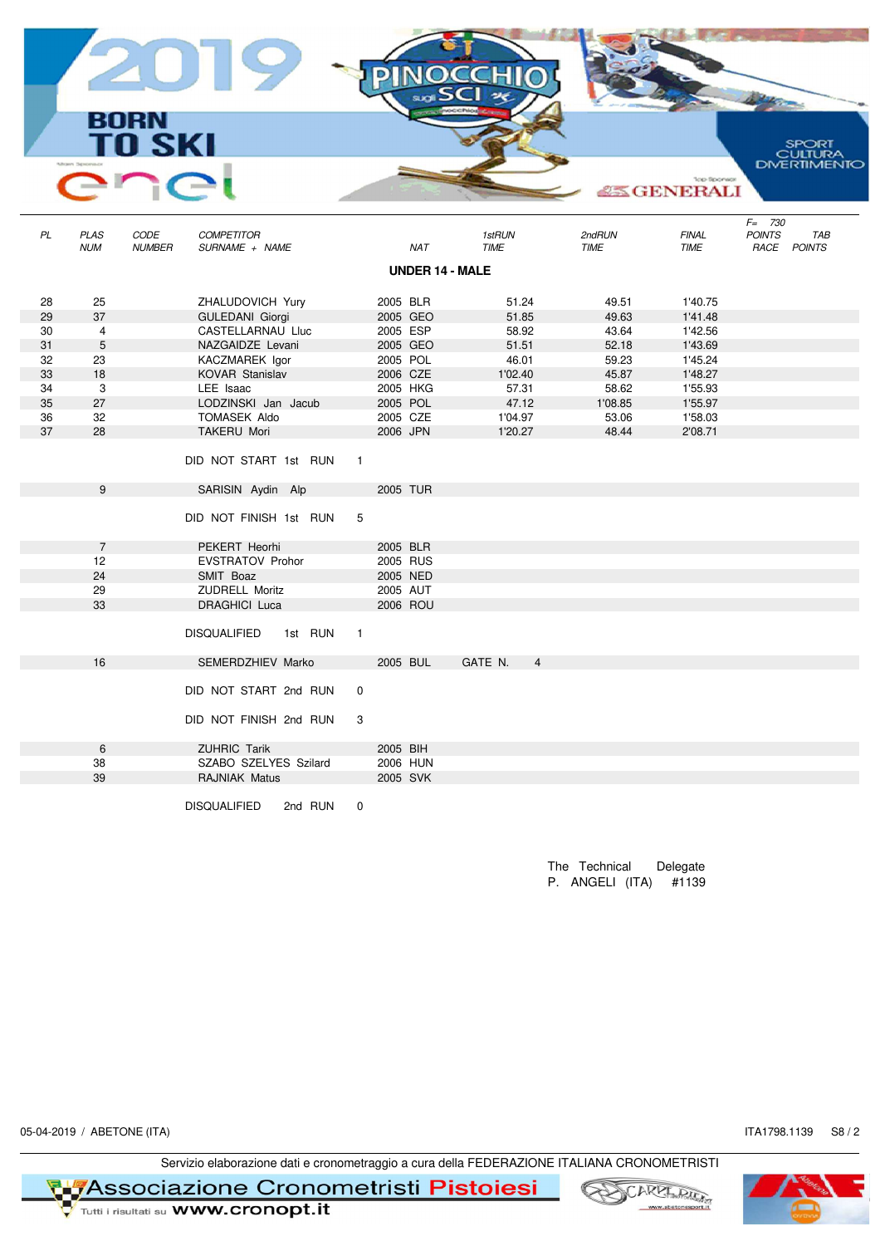**BORN SKI** SPORT<br>CULTURA<br>DIVERTIMENTO **ASS GENERALI** F= 730<br>POINTS<br>RACE NUM NUMBER SURNAME + NAME NAT TIME TIME TIME RACE POINTS PL PLAS CODE COMPETITOR 1stRUN 2ndRUN FINAL POINTS TAB

|    |                |                         |         |                |          |          | <b>UNDER 14 - MALE</b> |         |                |         |         |  |  |
|----|----------------|-------------------------|---------|----------------|----------|----------|------------------------|---------|----------------|---------|---------|--|--|
| 28 | 25             | ZHALUDOVICH Yury        |         |                | 2005 BLR |          |                        | 51.24   |                | 49.51   | 1'40.75 |  |  |
| 29 | 37             | <b>GULEDANI Giorgi</b>  |         |                |          | 2005 GEO |                        | 51.85   |                | 49.63   | 1'41.48 |  |  |
| 30 | $\overline{4}$ | CASTELLARNAU Lluc       |         |                | 2005 ESP |          |                        | 58.92   |                | 43.64   | 1'42.56 |  |  |
| 31 | 5              | NAZGAIDZE Levani        |         |                |          | 2005 GEO |                        | 51.51   |                | 52.18   | 1'43.69 |  |  |
| 32 | 23             | KACZMAREK Igor          |         |                | 2005 POL |          |                        | 46.01   |                | 59.23   | 1'45.24 |  |  |
| 33 | 18             | KOVAR Stanislav         |         |                | 2006 CZE |          |                        | 1'02.40 |                | 45.87   | 1'48.27 |  |  |
| 34 | 3              | LEE Isaac               |         |                | 2005 HKG |          |                        | 57.31   |                | 58.62   | 1'55.93 |  |  |
| 35 | 27             | LODZINSKI Jan Jacub     |         |                | 2005 POL |          |                        | 47.12   |                | 1'08.85 | 1'55.97 |  |  |
| 36 | 32             | TOMASEK Aldo            |         |                | 2005 CZE |          |                        | 1'04.97 |                | 53.06   | 1'58.03 |  |  |
| 37 | 28             | <b>TAKERU Mori</b>      |         |                | 2006 JPN |          |                        | 1'20.27 |                | 48.44   | 2'08.71 |  |  |
|    |                | DID NOT START 1st RUN   |         | $\overline{1}$ |          |          |                        |         |                |         |         |  |  |
|    | 9              | SARISIN Aydin Alp       |         |                | 2005 TUR |          |                        |         |                |         |         |  |  |
|    |                | DID NOT FINISH 1st RUN  |         | 5              |          |          |                        |         |                |         |         |  |  |
|    | $\overline{7}$ | PEKERT Heorhi           |         |                | 2005 BLR |          |                        |         |                |         |         |  |  |
|    | 12             | <b>EVSTRATOV Prohor</b> |         |                | 2005 RUS |          |                        |         |                |         |         |  |  |
|    | 24             | SMIT Boaz               |         |                | 2005 NED |          |                        |         |                |         |         |  |  |
|    | 29             | <b>ZUDRELL Moritz</b>   |         |                | 2005 AUT |          |                        |         |                |         |         |  |  |
|    | 33             | <b>DRAGHICI Luca</b>    |         |                |          | 2006 ROU |                        |         |                |         |         |  |  |
|    |                | DISQUALIFIED 1st RUN    |         | $\overline{1}$ |          |          |                        |         |                |         |         |  |  |
|    | 16             | SEMERDZHIEV Marko       |         |                | 2005 BUL |          | GATE N.                |         | $\overline{4}$ |         |         |  |  |
|    |                | DID NOT START 2nd RUN   |         | $\mathbf 0$    |          |          |                        |         |                |         |         |  |  |
|    |                | DID NOT FINISH 2nd RUN  |         | 3              |          |          |                        |         |                |         |         |  |  |
|    | 6              | <b>ZUHRIC Tarik</b>     |         |                | 2005 BIH |          |                        |         |                |         |         |  |  |
|    | 38             | SZABO SZELYES Szilard   |         |                |          | 2006 HUN |                        |         |                |         |         |  |  |
|    | 39             | <b>RAJNIAK Matus</b>    |         |                | 2005 SVK |          |                        |         |                |         |         |  |  |
|    |                | <b>DISQUALIFIED</b>     | 2nd RUN | 0              |          |          |                        |         |                |         |         |  |  |

The Technical Delegate P. ANGELI (ITA) #1139

05-04-2019 / ABETONE (ITA) S8 / 2

Servizio elaborazione dati e cronometraggio a cura della FEDERAZIONE ITALIANA CRONOMETRISTI

**RIFAssociazione Cronometristi Pistoiesi** 





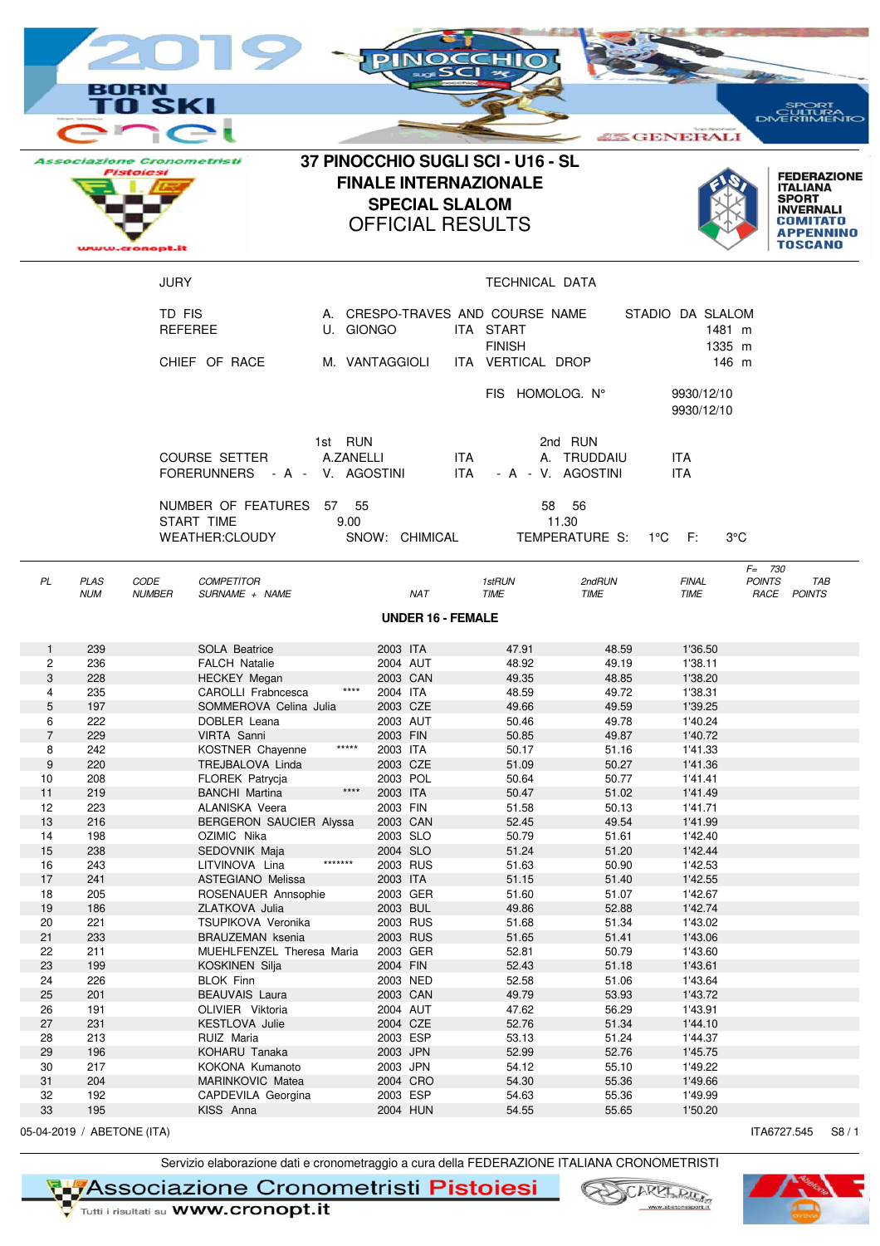|                                                                   |                                                             | вне<br>I SKI                                                 |                                                                                                                                                                                            |                      |                                                                                                          |                                                  |                                                                                     |                                                                               |                                                                                                 | PORT                                                                                 |
|-------------------------------------------------------------------|-------------------------------------------------------------|--------------------------------------------------------------|--------------------------------------------------------------------------------------------------------------------------------------------------------------------------------------------|----------------------|----------------------------------------------------------------------------------------------------------|--------------------------------------------------|-------------------------------------------------------------------------------------|-------------------------------------------------------------------------------|-------------------------------------------------------------------------------------------------|--------------------------------------------------------------------------------------|
|                                                                   |                                                             |                                                              |                                                                                                                                                                                            |                      |                                                                                                          |                                                  |                                                                                     |                                                                               | <b>25 GENERALI</b>                                                                              | DMERTIMENTO                                                                          |
|                                                                   |                                                             | <i><b>Associazione Cronometristi</b></i><br><b>Pistolesi</b> |                                                                                                                                                                                            |                      |                                                                                                          | <b>SPECIAL SLALOM</b><br><b>OFFICIAL RESULTS</b> | 37 PINOCCHIO SUGLI SCI - U16 - SL<br><b>FINALE INTERNAZIONALE</b>                   |                                                                               |                                                                                                 | <b>FEDERAZIONE</b><br><b>ITALIANA</b><br><b>SPORT</b><br><b>INVERNALI</b><br>TOSCANO |
|                                                                   |                                                             | <b>JURY</b>                                                  |                                                                                                                                                                                            |                      |                                                                                                          |                                                  | TECHNICAL DATA                                                                      |                                                                               |                                                                                                 |                                                                                      |
|                                                                   |                                                             | TD FIS                                                       | <b>REFEREE</b><br>CHIEF OF RACE                                                                                                                                                            | U. GIONGO            | M. VANTAGGIOLI                                                                                           |                                                  | A. CRESPO-TRAVES AND COURSE NAME<br>ITA START<br><b>FINISH</b><br>ITA VERTICAL DROP |                                                                               | STADIO DA SLALOM                                                                                | 1481 m<br>1335 m<br>146 m                                                            |
|                                                                   |                                                             |                                                              |                                                                                                                                                                                            |                      |                                                                                                          |                                                  | FIS HOMOLOG. Nº                                                                     |                                                                               | 9930/12/10<br>9930/12/10                                                                        |                                                                                      |
|                                                                   |                                                             |                                                              | <b>COURSE SETTER</b><br>FORERUNNERS - A - V. AGOSTINI                                                                                                                                      | 1st RUN<br>A.ZANELLI |                                                                                                          | ITA.<br>ITA.                                     |                                                                                     | 2nd RUN<br>A. TRUDDAIU<br>- A - V. AGOSTINI                                   | <b>ITA</b><br><b>ITA</b>                                                                        |                                                                                      |
|                                                                   |                                                             |                                                              | NUMBER OF FEATURES 57 55<br>START TIME<br><b>WEATHER:CLOUDY</b>                                                                                                                            | 9.00                 | SNOW: CHIMICAL                                                                                           |                                                  |                                                                                     | 58 56<br>11.30<br>TEMPERATURE S: 1°C F:                                       |                                                                                                 | $3^{\circ}$ C                                                                        |
| PL                                                                | <b>PLAS</b><br><b>NUM</b>                                   | CODE<br><b>NUMBER</b>                                        | <b>COMPETITOR</b><br>SURNAME + NAME                                                                                                                                                        |                      |                                                                                                          | <b>NAT</b>                                       | 1stRUN<br><b>TIME</b>                                                               | 2ndRUN<br><b>TIME</b>                                                         | <b>FINAL</b><br><b>TIME</b>                                                                     | $F = 730$<br><b>POINTS</b><br>TAB<br>RACE POINTS                                     |
|                                                                   |                                                             |                                                              |                                                                                                                                                                                            |                      |                                                                                                          | <b>UNDER 16 - FEMALE</b>                         |                                                                                     |                                                                               |                                                                                                 |                                                                                      |
| $\mathbf{1}$<br>2<br>3<br>4<br>5<br>6<br>$\overline{7}$<br>8<br>9 | 239<br>236<br>228<br>235<br>197<br>222<br>229<br>242<br>220 |                                                              | <b>SOLA Beatrice</b><br><b>FALCH Natalie</b><br><b>HECKEY Megan</b><br>CAROLLI Frabncesca<br>SOMMEROVA Celina Julia<br>DOBLER Leana<br>VIRTA Sanni<br>KOSTNER Chayenne<br>TREJBALOVA Linda | *****                | 2003 ITA<br>2004 AUT<br>2003 CAN<br>2004 ITA<br>2003 CZE<br>2003 AUT<br>2003 FIN<br>2003 ITA<br>2003 CZE |                                                  | 47.91<br>48.92<br>49.35<br>48.59<br>49.66<br>50.46<br>50.85<br>50.17<br>51.09       | 48.59<br>49.19<br>48.85<br>49.72<br>49.59<br>49.78<br>49.87<br>51.16<br>50.27 | 1'36.50<br>1'38.11<br>1'38.20<br>1'38.31<br>1'39.25<br>1'40.24<br>1'40.72<br>1'41.33<br>1'41.36 |                                                                                      |
| 10<br>11<br>12<br>13<br>14<br>15<br>16                            | 208<br>219<br>223<br>216<br>198<br>238<br>243               |                                                              | <b>FLOREK Patrycia</b><br><b>BANCHI Martina</b><br>ALANISKA Veera<br>BERGERON SAUCIER Alyssa<br>OZIMIC Nika<br>SEDOVNIK Maja<br>LITVINOVA Lina                                             | $***$<br>*******     | 2003 POL<br>2003 ITA<br>2003 FIN<br>2003 CAN<br>2003 SLO<br>2004 SLO<br>2003 RUS                         |                                                  | 50.64<br>50.47<br>51.58<br>52.45<br>50.79<br>51.24<br>51.63                         | 50.77<br>51.02<br>50.13<br>49.54<br>51.61<br>51.20<br>50.90                   | 1'41.41<br>1'41.49<br>1'41.71<br>1'41.99<br>1'42.40<br>1'42.44<br>1'42.53                       |                                                                                      |
| 17<br>18<br>19<br>20<br>21<br>22                                  | 241<br>205<br>186<br>221<br>233<br>211                      |                                                              | <b>ASTEGIANO Melissa</b><br>ROSENAUER Annsophie<br>ZLATKOVA Julia<br>TSUPIKOVA Veronika<br><b>BRAUZEMAN</b> ksenia<br>MUEHLFENZEL Theresa Maria                                            |                      | 2003 ITA<br>2003 GER<br>2003 BUL<br>2003 RUS<br>2003 RUS<br>2003 GER                                     |                                                  | 51.15<br>51.60<br>49.86<br>51.68<br>51.65<br>52.81                                  | 51.40<br>51.07<br>52.88<br>51.34<br>51.41<br>50.79                            | 1'42.55<br>1'42.67<br>1'42.74<br>1'43.02<br>1'43.06<br>1'43.60                                  |                                                                                      |
| 23<br>24<br>25<br>26<br>27                                        | 199<br>226<br>201<br>191<br>231                             |                                                              | <b>KOSKINEN Silja</b><br><b>BLOK Finn</b><br><b>BEAUVAIS Laura</b><br>OLIVIER Viktoria<br>KESTLOVA Julie                                                                                   |                      | 2004 FIN<br>2003 NED<br>2003 CAN<br>2004 AUT<br>2004 CZE                                                 |                                                  | 52.43<br>52.58<br>49.79<br>47.62<br>52.76                                           | 51.18<br>51.06<br>53.93<br>56.29<br>51.34                                     | 1'43.61<br>1'43.64<br>1'43.72<br>1'43.91<br>1'44.10                                             |                                                                                      |
| 28<br>29<br>30<br>31<br>32<br>33                                  | 213<br>196<br>217<br>204<br>192<br>195                      |                                                              | RUIZ Maria<br>KOHARU Tanaka<br>KOKONA Kumanoto<br>MARINKOVIC Matea<br>CAPDEVILA Georgina<br>KISS Anna                                                                                      |                      | 2003 ESP<br>2003 JPN<br>2003 JPN<br>2004 CRO<br>2003 ESP<br>2004 HUN                                     |                                                  | 53.13<br>52.99<br>54.12<br>54.30<br>54.63<br>54.55                                  | 51.24<br>52.76<br>55.10<br>55.36<br>55.36<br>55.65                            | 1'44.37<br>1'45.75<br>1'49.22<br>1'49.66<br>1'49.99<br>1'50.20                                  |                                                                                      |
|                                                                   | 05-04-2019 / ABETONE (ITA)                                  |                                                              |                                                                                                                                                                                            |                      |                                                                                                          |                                                  |                                                                                     |                                                                               |                                                                                                 | ITA6727.545<br>S8/1                                                                  |

Servizio elaborazione dati e cronometraggio a cura della FEDERAZIONE ITALIANA CRONOMETRISTI<br>
Tutti i risultati su WWW.cronopt.it<br>
Tutti i risultati su WWW.cronopt.it

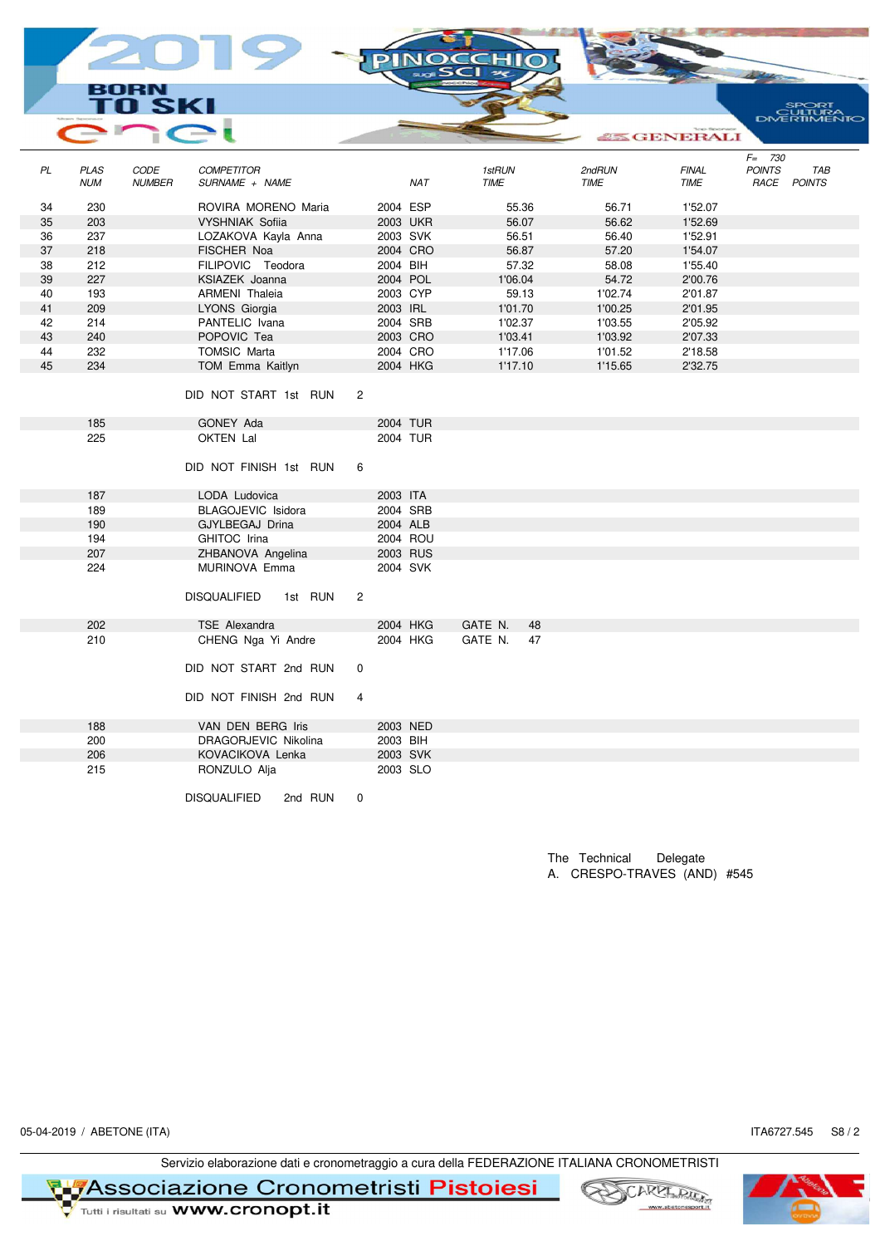BORN **SK** I

|    |                           |                       |                                     |         |                |          |            |                       |       |                       | <b>Except ERALI</b>         |               |                    |
|----|---------------------------|-----------------------|-------------------------------------|---------|----------------|----------|------------|-----------------------|-------|-----------------------|-----------------------------|---------------|--------------------|
|    |                           |                       |                                     |         |                |          |            |                       |       |                       |                             | $F = 730$     |                    |
| PL | <b>PLAS</b><br><b>NUM</b> | CODE<br><b>NUMBER</b> | <b>COMPETITOR</b><br>SURNAME + NAME |         |                |          | <b>NAT</b> | 1stRUN<br><b>TIME</b> |       | 2ndRUN<br><b>TIME</b> | <b>FINAL</b><br><b>TIME</b> | <b>POINTS</b> | TAB<br>RACE POINTS |
| 34 | 230                       |                       | ROVIRA MORENO Maria                 |         |                | 2004 ESP |            |                       | 55.36 | 56.71                 | 1'52.07                     |               |                    |
| 35 | 203                       |                       | <b>VYSHNIAK Sofiia</b>              |         |                | 2003 UKR |            |                       | 56.07 | 56.62                 | 1'52.69                     |               |                    |
| 36 | 237                       |                       | LOZAKOVA Kayla Anna                 |         |                | 2003 SVK |            |                       | 56.51 | 56.40                 | 1'52.91                     |               |                    |
| 37 | 218                       |                       | FISCHER Noa                         |         |                |          | 2004 CRO   |                       | 56.87 | 57.20                 | 1'54.07                     |               |                    |
| 38 | 212                       |                       | FILIPOVIC Teodora                   |         |                | 2004 BIH |            |                       | 57.32 | 58.08                 | 1'55.40                     |               |                    |
| 39 | 227                       |                       | KSIAZEK Joanna                      |         |                | 2004 POL |            | 1'06.04               |       | 54.72                 | 2'00.76                     |               |                    |
| 40 | 193                       |                       | <b>ARMENI</b> Thaleia               |         |                | 2003 CYP |            |                       | 59.13 | 1'02.74               | 2'01.87                     |               |                    |
| 41 | 209                       |                       | LYONS Giorgia                       |         |                | 2003 IRL |            | 1'01.70               |       | 1'00.25               | 2'01.95                     |               |                    |
| 42 | 214                       |                       | PANTELIC Ivana                      |         |                | 2004 SRB |            | 1'02.37               |       | 1'03.55               | 2'05.92                     |               |                    |
| 43 | 240                       |                       | POPOVIC Tea                         |         |                | 2003 CRO |            | 1'03.41               |       | 1'03.92               | 2'07.33                     |               |                    |
| 44 | 232                       |                       | <b>TOMSIC Marta</b>                 |         |                |          | 2004 CRO   | 1'17.06               |       | 1'01.52               | 2'18.58                     |               |                    |
| 45 | 234                       |                       | TOM Emma Kaitlyn                    |         |                | 2004 HKG |            | 1'17.10               |       | 1'15.65               | 2'32.75                     |               |                    |
|    |                           |                       | DID NOT START 1st RUN               |         | $\overline{2}$ |          |            |                       |       |                       |                             |               |                    |
|    | 185                       |                       | GONEY Ada                           |         |                | 2004 TUR |            |                       |       |                       |                             |               |                    |
|    | 225                       |                       | OKTEN Lal                           |         |                | 2004 TUR |            |                       |       |                       |                             |               |                    |
|    |                           |                       | DID NOT FINISH 1st RUN              |         | 6              |          |            |                       |       |                       |                             |               |                    |
|    | 187                       |                       | LODA Ludovica                       |         |                | 2003 ITA |            |                       |       |                       |                             |               |                    |
|    | 189                       |                       | BLAGOJEVIC Isidora                  |         |                | 2004 SRB |            |                       |       |                       |                             |               |                    |
|    | 190                       |                       | GJYLBEGAJ Drina                     |         |                | 2004 ALB |            |                       |       |                       |                             |               |                    |
|    | 194                       |                       | GHITOC Irina                        |         |                | 2004 ROU |            |                       |       |                       |                             |               |                    |
|    | 207                       |                       | ZHBANOVA Angelina                   |         |                | 2003 RUS |            |                       |       |                       |                             |               |                    |
|    | 224                       |                       | MURINOVA Emma                       |         |                | 2004 SVK |            |                       |       |                       |                             |               |                    |
|    |                           |                       | <b>DISQUALIFIED</b>                 | 1st RUN | $\overline{2}$ |          |            |                       |       |                       |                             |               |                    |
|    | 202                       |                       | <b>TSE Alexandra</b>                |         |                | 2004 HKG |            | GATE N.               | 48    |                       |                             |               |                    |
|    | 210                       |                       | CHENG Nga Yi Andre                  |         |                |          | 2004 HKG   | GATE N.               | 47    |                       |                             |               |                    |
|    |                           |                       | DID NOT START 2nd RUN               |         | 0              |          |            |                       |       |                       |                             |               |                    |
|    |                           |                       | DID NOT FINISH 2nd RUN              |         | $\overline{4}$ |          |            |                       |       |                       |                             |               |                    |
|    | 188                       |                       | VAN DEN BERG Iris                   |         |                | 2003 NED |            |                       |       |                       |                             |               |                    |
|    | 200                       |                       | DRAGORJEVIC Nikolina                |         |                | 2003 BIH |            |                       |       |                       |                             |               |                    |
|    | 206                       |                       | KOVACIKOVA Lenka                    |         |                | 2003 SVK |            |                       |       |                       |                             |               |                    |
|    | 215                       |                       | RONZULO Alja                        |         |                | 2003 SLO |            |                       |       |                       |                             |               |                    |
|    |                           |                       | <b>DISQUALIFIED</b>                 | 2nd RUN | $\Omega$       |          |            |                       |       |                       |                             |               |                    |

**DIN** 

The Technical Delegate A. CRESPO-TRAVES (AND) #545

05-04-2019 / ABETONE (ITA) ITA6727.545 S8 / 2

SPORT<br>DVERTIMENTO

Servizio elaborazione dati e cronometraggio a cura della FEDERAZIONE ITALIANA CRONOMETRISTI

**TL<mark>7</mark>Associazione Cronometristi Pistoiesi**<br>V Tutti i risultati su WWW.cronopt.it





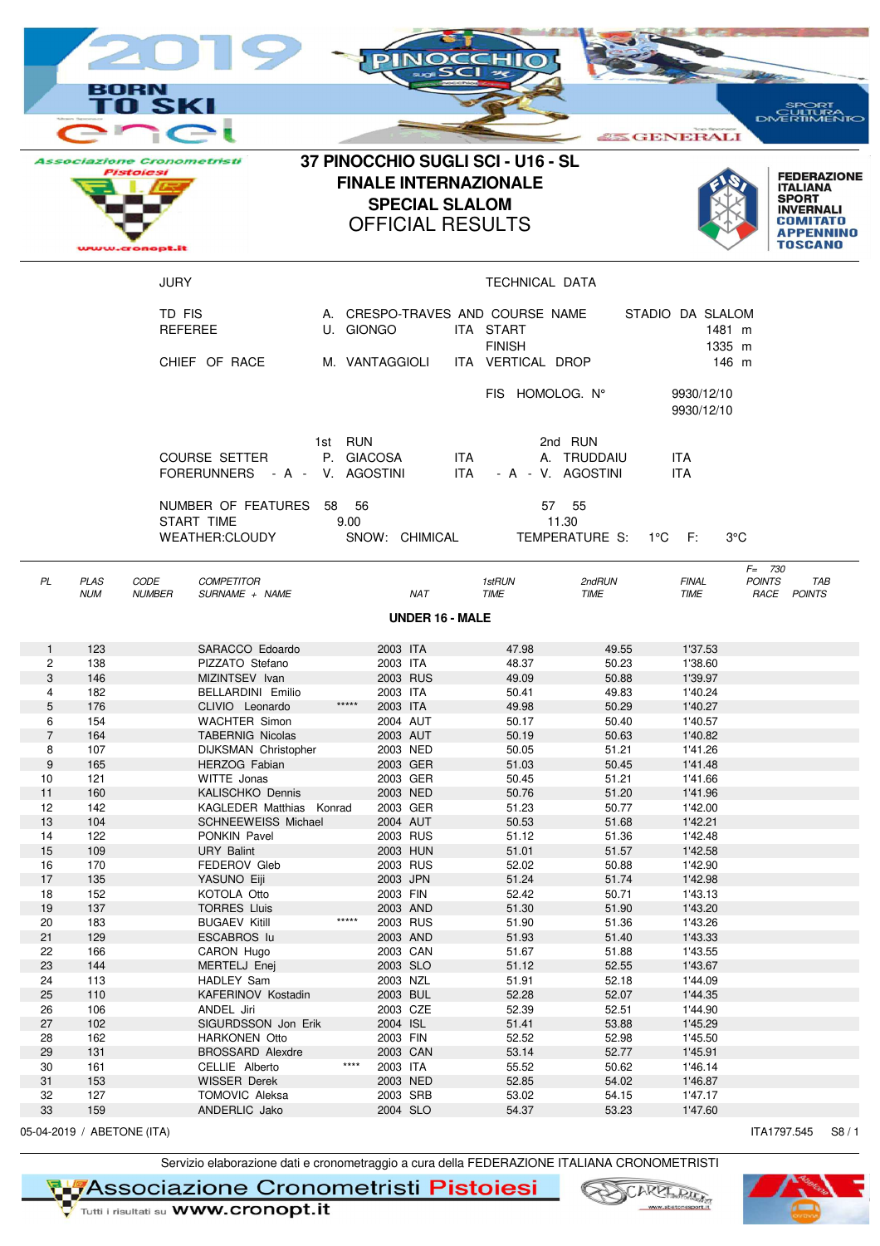|                   |                            |                                                                         |                                                          |           |                       | PINOC      | sci                    | <b>CHII</b><br>$\rightarrow$                                                                 |                                             |                                               |                                                                                                                             |
|-------------------|----------------------------|-------------------------------------------------------------------------|----------------------------------------------------------|-----------|-----------------------|------------|------------------------|----------------------------------------------------------------------------------------------|---------------------------------------------|-----------------------------------------------|-----------------------------------------------------------------------------------------------------------------------------|
|                   |                            | вовм<br>II SKI                                                          |                                                          |           |                       |            |                        |                                                                                              |                                             |                                               | <b>SPORT</b><br>ULTURA                                                                                                      |
|                   |                            |                                                                         |                                                          |           |                       |            |                        |                                                                                              |                                             | <b>25 GENERALI</b>                            |                                                                                                                             |
|                   |                            | <b>Associazione Cronometristi</b><br><b>Pistoicsi</b><br>www.cronopt.it |                                                          |           | <b>SPECIAL SLALOM</b> |            |                        | 37 PINOCCHIO SUGLI SCI - U16 - SL<br><b>FINALE INTERNAZIONALE</b><br><b>OFFICIAL RESULTS</b> |                                             |                                               | <b>FEDERAZIONE</b><br><b>ITALIANA</b><br><b>SPORT</b><br><b>INVERNALI</b><br>COMITATO<br><b>APPENNINO</b><br><b>TOSCANO</b> |
|                   |                            | <b>JURY</b>                                                             |                                                          |           |                       |            |                        | TECHNICAL DATA                                                                               |                                             |                                               |                                                                                                                             |
|                   |                            | TD FIS                                                                  | <b>REFEREE</b><br>CHIEF OF RACE                          | U. GIONGO | M. VANTAGGIOLI        |            |                        | A. CRESPO-TRAVES AND COURSE NAME<br>ITA START<br><b>FINISH</b><br>ITA VERTICAL DROP          |                                             | STADIO DA SLALOM<br>1481 m<br>1335 m<br>146 m |                                                                                                                             |
|                   |                            |                                                                         |                                                          |           |                       |            |                        | FIS HOMOLOG. N°                                                                              |                                             | 9930/12/10<br>9930/12/10                      |                                                                                                                             |
|                   |                            |                                                                         | COURSE SETTER<br>FORERUNNERS - A - V. AGOSTINI           | 1st RUN   | P. GIACOSA            |            | ITA.<br>ITA            |                                                                                              | 2nd RUN<br>A. TRUDDAIU<br>- A - V. AGOSTINI | ITA<br><b>ITA</b>                             |                                                                                                                             |
|                   |                            |                                                                         | NUMBER OF FEATURES 58 56<br>START TIME<br>WEATHER:CLOUDY | 9.00      | SNOW: CHIMICAL        |            |                        |                                                                                              | 57 55<br>11.30<br>TEMPERATURE S: 1°C F:     |                                               | 3°C                                                                                                                         |
| PL                | <b>PLAS</b><br><b>NUM</b>  | CODE<br><b>NUMBER</b>                                                   | <b>COMPETITOR</b><br>SURNAME + NAME                      |           |                       | <b>NAT</b> |                        | 1stRUN<br><b>TIME</b>                                                                        | 2ndRUN<br>TIME                              | <b>FINAL</b><br><b>TIME</b>                   | $F = 730$<br><b>POINTS</b><br>TAB<br>RACE POINTS                                                                            |
|                   |                            |                                                                         |                                                          |           |                       |            | <b>UNDER 16 - MALE</b> |                                                                                              |                                             |                                               |                                                                                                                             |
|                   |                            |                                                                         |                                                          |           |                       |            |                        |                                                                                              |                                             |                                               |                                                                                                                             |
| $\mathbf{1}$<br>2 | 123<br>138                 |                                                                         | SARACCO Edoardo<br>PIZZATO Stefano                       |           | 2003 ITA<br>2003 ITA  |            |                        | 47.98<br>48.37                                                                               | 49.55<br>50.23                              | 1'37.53<br>1'38.60                            |                                                                                                                             |
| 3                 | 146                        |                                                                         | MIZINTSEV Ivan                                           |           | 2003 RUS              |            |                        | 49.09                                                                                        | 50.88                                       | 1'39.97                                       |                                                                                                                             |
| 4                 | 182                        |                                                                         | BELLARDINI Emilio                                        | *****     | 2003 ITA              |            |                        | 50.41                                                                                        | 49.83                                       | 1'40.24                                       |                                                                                                                             |
| 5<br>6            | 176<br>154                 |                                                                         | CLIVIO Leonardo<br><b>WACHTER Simon</b>                  |           | 2003 ITA<br>2004 AUT  |            |                        | 49.98<br>50.17                                                                               | 50.29<br>50.40                              | 1'40.27<br>1'40.57                            |                                                                                                                             |
| $\overline{7}$    | 164                        |                                                                         | <b>TABERNIG Nicolas</b>                                  |           | 2003 AUT              |            |                        | 50.19                                                                                        | 50.63                                       | 1'40.82                                       |                                                                                                                             |
| 8                 | 107                        |                                                                         | DIJKSMAN Christopher                                     |           | 2003 NED              |            |                        | 50.05                                                                                        | 51.21                                       | 1'41.26                                       |                                                                                                                             |
| 9                 | 165                        |                                                                         | HERZOG Fabian                                            |           | 2003 GER              |            |                        | 51.03                                                                                        | 50.45                                       | 1'41.48                                       |                                                                                                                             |
| 10<br>11          | 121<br>160                 |                                                                         | WITTE Jonas<br>KALISCHKO Dennis                          |           | 2003 GER<br>2003 NED  |            |                        | 50.45<br>50.76                                                                               | 51.21<br>51.20                              | 1'41.66<br>1'41.96                            |                                                                                                                             |
| 12                | 142                        |                                                                         | KAGLEDER Matthias Konrad                                 |           | 2003 GER              |            |                        | 51.23                                                                                        | 50.77                                       | 1'42.00                                       |                                                                                                                             |
| 13                | 104                        |                                                                         | <b>SCHNEEWEISS Michael</b>                               |           | 2004 AUT              |            |                        | 50.53                                                                                        | 51.68                                       | 1'42.21                                       |                                                                                                                             |
| 14                | 122                        |                                                                         | PONKIN Pavel                                             |           | 2003 RUS              |            |                        | 51.12                                                                                        | 51.36                                       | 1'42.48                                       |                                                                                                                             |
| 15                | 109<br>170                 |                                                                         | <b>URY Balint</b><br>FEDEROV Gleb                        |           | 2003 HUN<br>2003 RUS  |            |                        | 51.01<br>52.02                                                                               | 51.57                                       | 1'42.58<br>1'42.90                            |                                                                                                                             |
| 16<br>17          | 135                        |                                                                         | YASUNO Eiji                                              |           | 2003 JPN              |            |                        | 51.24                                                                                        | 50.88<br>51.74                              | 1'42.98                                       |                                                                                                                             |
| 18                | 152                        |                                                                         | KOTOLA Otto                                              |           | 2003 FIN              |            |                        | 52.42                                                                                        | 50.71                                       | 1'43.13                                       |                                                                                                                             |
| 19                | 137                        |                                                                         | <b>TORRES Lluis</b>                                      |           | 2003 AND              |            |                        | 51.30                                                                                        | 51.90                                       | 1'43.20                                       |                                                                                                                             |
| 20                | 183                        |                                                                         | <b>BUGAEV Kitill</b>                                     | *****     | 2003 RUS              |            |                        | 51.90                                                                                        | 51.36                                       | 1'43.26                                       |                                                                                                                             |
| 21<br>22          | 129<br>166                 |                                                                         | ESCABROS lu<br>CARON Hugo                                |           | 2003 AND<br>2003 CAN  |            |                        | 51.93<br>51.67                                                                               | 51.40<br>51.88                              | 1'43.33<br>1'43.55                            |                                                                                                                             |
| 23                | 144                        |                                                                         | MERTELJ Enej                                             |           | 2003 SLO              |            |                        | 51.12                                                                                        | 52.55                                       | 1'43.67                                       |                                                                                                                             |
| 24                | 113                        |                                                                         | HADLEY Sam                                               |           | 2003 NZL              |            |                        | 51.91                                                                                        | 52.18                                       | 1'44.09                                       |                                                                                                                             |
| 25                | 110                        |                                                                         | KAFERINOV Kostadin                                       |           | 2003 BUL              |            |                        | 52.28                                                                                        | 52.07                                       | 1'44.35                                       |                                                                                                                             |
| 26                | 106                        |                                                                         | ANDEL Jiri                                               |           | 2003 CZE              |            |                        | 52.39                                                                                        | 52.51                                       | 1'44.90                                       |                                                                                                                             |
| 27<br>28          | 102<br>162                 |                                                                         | SIGURDSSON Jon Erik<br><b>HARKONEN Otto</b>              |           | 2004 ISL<br>2003 FIN  |            |                        | 51.41<br>52.52                                                                               | 53.88<br>52.98                              | 1'45.29<br>1'45.50                            |                                                                                                                             |
| 29                | 131                        |                                                                         | <b>BROSSARD Alexdre</b>                                  |           | 2003 CAN              |            |                        | 53.14                                                                                        | 52.77                                       | 1'45.91                                       |                                                                                                                             |
| 30                | 161                        |                                                                         | CELLIE Alberto                                           | $***$     | 2003 ITA              |            |                        | 55.52                                                                                        | 50.62                                       | 1'46.14                                       |                                                                                                                             |
| 31                | 153                        |                                                                         | WISSER Derek                                             |           | 2003 NED              |            |                        | 52.85                                                                                        | 54.02                                       | 1'46.87                                       |                                                                                                                             |
| 32                | 127<br>159                 |                                                                         | TOMOVIC Aleksa                                           |           | 2003 SRB              |            |                        | 53.02                                                                                        | 54.15                                       | 1'47.17                                       |                                                                                                                             |
| 33                |                            |                                                                         | ANDERLIC Jako                                            |           | 2004 SLO              |            |                        | 54.37                                                                                        | 53.23                                       | 1'47.60                                       |                                                                                                                             |
|                   | 05-04-2019 / ABETONE (ITA) |                                                                         |                                                          |           |                       |            |                        |                                                                                              |                                             |                                               | ITA1797.545<br>S8/1                                                                                                         |

Servizio elaborazione dati e cronometraggio a cura della FEDERAZIONE ITALIANA CRONOMETRISTI<br>
Tutti i risultati su WWW.cronopt.it<br>
Tutti i risultati su WWW.cronopt.it



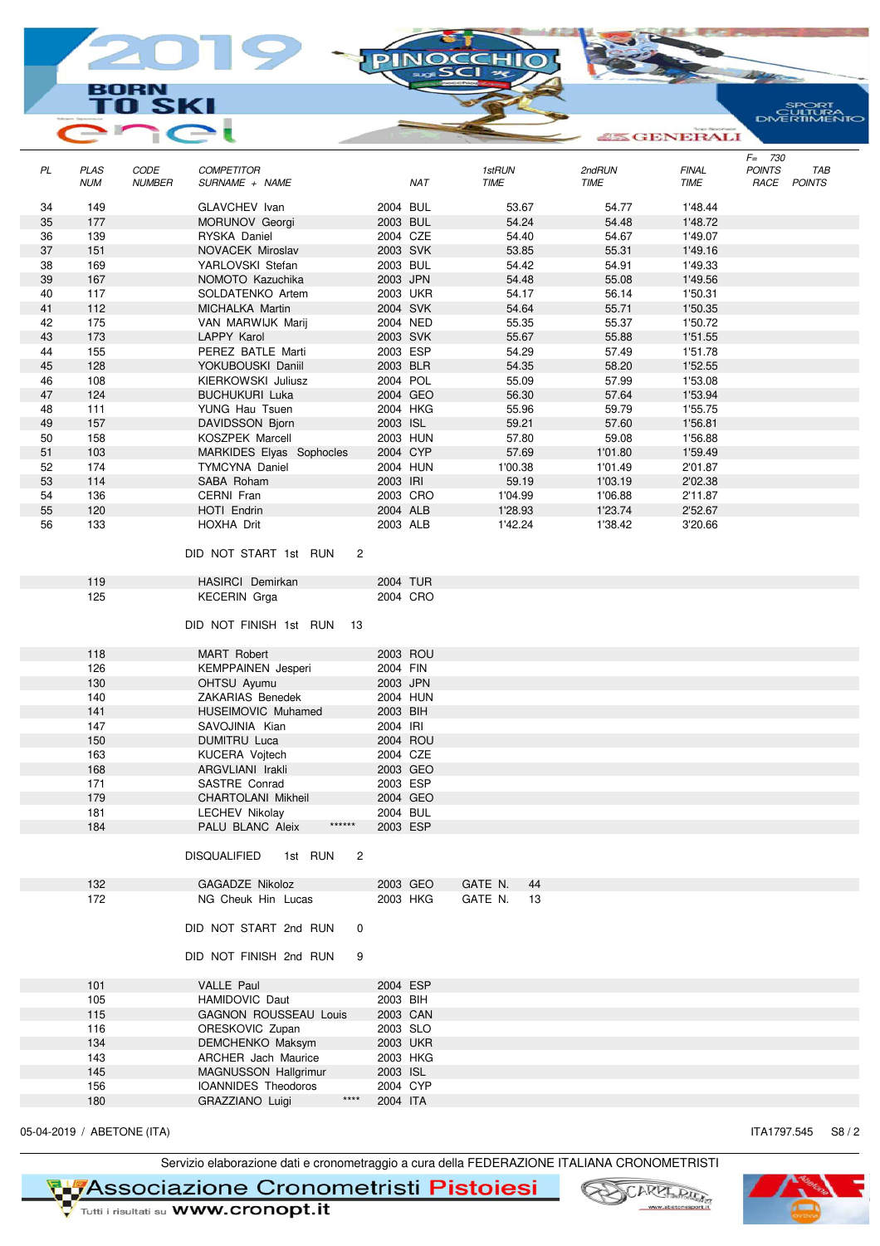## BORN **SK** E

|    |                           | ш                     |                                             |   |            |                |    |                | GENERALI             |                            |                           |
|----|---------------------------|-----------------------|---------------------------------------------|---|------------|----------------|----|----------------|----------------------|----------------------------|---------------------------|
| PL | <b>PLAS</b><br><b>NUM</b> | CODE<br><b>NUMBER</b> | <b>COMPETITOR</b><br>SURNAME + NAME         |   | <b>NAT</b> | 1stRUN<br>TIME |    | 2ndRUN<br>TIME | <b>FINAL</b><br>TIME | $F = 730$<br><b>POINTS</b> | <b>TAB</b><br>RACE POINTS |
| 34 | 149                       |                       | GLAVCHEV Ivan                               |   | 2004 BUL   | 53.67          |    | 54.77          | 1'48.44              |                            |                           |
| 35 | 177                       |                       | MORUNOV Georgi                              |   | 2003 BUL   | 54.24          |    | 54.48          | 1'48.72              |                            |                           |
| 36 | 139                       |                       | RYSKA Daniel                                |   | 2004 CZE   | 54.40          |    | 54.67          | 1'49.07              |                            |                           |
| 37 | 151                       |                       | NOVACEK Miroslav                            |   | 2003 SVK   | 53.85          |    | 55.31          | 1'49.16              |                            |                           |
| 38 | 169                       |                       | YARLOVSKI Stefan                            |   | 2003 BUL   | 54.42          |    | 54.91          | 1'49.33              |                            |                           |
| 39 | 167                       |                       | NOMOTO Kazuchika                            |   | 2003 JPN   | 54.48          |    | 55.08          | 1'49.56              |                            |                           |
| 40 | 117                       |                       | SOLDATENKO Artem                            |   | 2003 UKR   | 54.17          |    | 56.14          | 1'50.31              |                            |                           |
| 41 | 112                       |                       | MICHALKA Martin                             |   | 2004 SVK   | 54.64          |    | 55.71          | 1'50.35              |                            |                           |
| 42 | 175                       |                       | VAN MARWIJK Marij                           |   | 2004 NED   | 55.35          |    | 55.37          | 1'50.72              |                            |                           |
| 43 | 173                       |                       | LAPPY Karol                                 |   | 2003 SVK   | 55.67          |    | 55.88          | 1'51.55              |                            |                           |
| 44 | 155                       |                       | PEREZ BATLE Marti                           |   | 2003 ESP   | 54.29          |    | 57.49          | 1'51.78              |                            |                           |
| 45 | 128                       |                       | YOKUBOUSKI Daniil                           |   | 2003 BLR   | 54.35          |    | 58.20          | 1'52.55              |                            |                           |
| 46 | 108                       |                       | KIERKOWSKI Juliusz                          |   | 2004 POL   | 55.09          |    | 57.99          | 1'53.08              |                            |                           |
| 47 | 124                       |                       | <b>BUCHUKURI Luka</b>                       |   | 2004 GEO   | 56.30          |    | 57.64          | 1'53.94              |                            |                           |
| 48 | 111                       |                       | YUNG Hau Tsuen                              |   | 2004 HKG   | 55.96          |    | 59.79          | 1'55.75              |                            |                           |
| 49 | 157                       |                       | DAVIDSSON Bjorn                             |   | 2003 ISL   | 59.21          |    | 57.60          | 1'56.81              |                            |                           |
| 50 | 158                       |                       | KOSZPEK Marcell                             |   | 2003 HUN   | 57.80          |    | 59.08          | 1'56.88              |                            |                           |
| 51 | 103                       |                       | MARKIDES Elyas Sophocles                    |   | 2004 CYP   | 57.69          |    | 1'01.80        | 1'59.49              |                            |                           |
| 52 | 174                       |                       | <b>TYMCYNA Daniel</b>                       |   | 2004 HUN   | 1'00.38        |    | 1'01.49        | 2'01.87              |                            |                           |
| 53 | 114                       |                       | SABA Roham                                  |   | 2003 IRI   | 59.19          |    | 1'03.19        | 2'02.38              |                            |                           |
| 54 | 136                       |                       | CERNI Fran                                  |   | 2003 CRO   | 1'04.99        |    | 1'06.88        | 2'11.87              |                            |                           |
| 55 | 120                       |                       | HOTI Endrin                                 |   | 2004 ALB   | 1'28.93        |    | 1'23.74        | 2'52.67              |                            |                           |
| 56 | 133                       |                       | HOXHA Drit                                  |   | 2003 ALB   | 1'42.24        |    | 1'38.42        | 3'20.66              |                            |                           |
|    |                           |                       | DID NOT START 1st RUN                       | 2 |            |                |    |                |                      |                            |                           |
|    | 119                       |                       | HASIRCI Demirkan                            |   | 2004 TUR   |                |    |                |                      |                            |                           |
|    | 125                       |                       | <b>KECERIN</b> Grga                         |   | 2004 CRO   |                |    |                |                      |                            |                           |
|    |                           |                       | DID NOT FINISH 1st RUN<br>-13               |   |            |                |    |                |                      |                            |                           |
|    | 118                       |                       | MART Robert                                 |   | 2003 ROU   |                |    |                |                      |                            |                           |
|    | 126                       |                       | <b>KEMPPAINEN</b> Jesperi                   |   | 2004 FIN   |                |    |                |                      |                            |                           |
|    | 130                       |                       | OHTSU Ayumu                                 |   | 2003 JPN   |                |    |                |                      |                            |                           |
|    | 140                       |                       | ZAKARIAS Benedek                            |   | 2004 HUN   |                |    |                |                      |                            |                           |
|    | 141                       |                       | <b>HUSEIMOVIC Muhamed</b>                   |   | 2003 BIH   |                |    |                |                      |                            |                           |
|    | 147                       |                       | SAVOJINIA Kian                              |   | 2004 IRI   |                |    |                |                      |                            |                           |
|    | 150                       |                       | <b>DUMITRU Luca</b>                         |   | 2004 ROU   |                |    |                |                      |                            |                           |
|    | 163                       |                       | KUCERA Vojtech                              |   | 2004 CZE   |                |    |                |                      |                            |                           |
|    | 168                       |                       | ARGVLIANI Irakli                            |   | 2003 GEO   |                |    |                |                      |                            |                           |
|    | 171                       |                       | SASTRE Conrad                               |   | 2003 ESP   |                |    |                |                      |                            |                           |
|    | 179                       |                       | CHARTOLANI Mikheil                          |   | 2004 GEO   |                |    |                |                      |                            |                           |
|    | 181                       |                       | <b>LECHEV Nikolay</b>                       |   | 2004 BUL   |                |    |                |                      |                            |                           |
|    | 184                       |                       | $******$<br>PALU BLANC Aleix                |   | 2003 ESP   |                |    |                |                      |                            |                           |
|    |                           |                       | <b>DISQUALIFIED</b><br>1st RUN              | 2 |            |                |    |                |                      |                            |                           |
|    | 132                       |                       | GAGADZE Nikoloz                             |   | 2003 GEO   | GATE N.        | 44 |                |                      |                            |                           |
|    | 172                       |                       | NG Cheuk Hin Lucas<br>DID NOT START 2nd RUN | 0 | 2003 HKG   | GATE N.        | 13 |                |                      |                            |                           |
|    |                           |                       | DID NOT FINISH 2nd RUN                      | 9 |            |                |    |                |                      |                            |                           |
|    | 101                       |                       | VALLE Paul                                  |   | 2004 ESP   |                |    |                |                      |                            |                           |
|    | 105                       |                       | <b>HAMIDOVIC Daut</b>                       |   | 2003 BIH   |                |    |                |                      |                            |                           |
|    | 115                       |                       | <b>GAGNON ROUSSEAU Louis</b>                |   | 2003 CAN   |                |    |                |                      |                            |                           |
|    | 116                       |                       | ORESKOVIC Zupan                             |   | 2003 SLO   |                |    |                |                      |                            |                           |
|    | 134                       |                       | DEMCHENKO Maksym                            |   | 2003 UKR   |                |    |                |                      |                            |                           |
|    | 143                       |                       | ARCHER Jach Maurice                         |   | 2003 HKG   |                |    |                |                      |                            |                           |
|    | 145                       |                       | MAGNUSSON Hallgrimur                        |   | 2003 ISL   |                |    |                |                      |                            |                           |
|    | 156                       |                       | IOANNIDES Theodoros                         |   | 2004 CYP   |                |    |                |                      |                            |                           |
|    | 180                       |                       | $***$<br>GRAZZIANO Luigi                    |   | 2004 ITA   |                |    |                |                      |                            |                           |
|    |                           |                       |                                             |   |            |                |    |                |                      |                            |                           |

PINO

05-04-2019 / ABETONE (ITA) **ITA1797.545** S8 / 2

Servizio elaborazione dati e cronometraggio a cura della FEDERAZIONE ITALIANA CRONOMETRISTI

**TL<mark>7</mark>Associazione Cronometristi Pistoiesi**<br>V Tutti i risultati su WWW.cronopt.it



SPORT<br>CULTURA<br>DNERTIMENTO